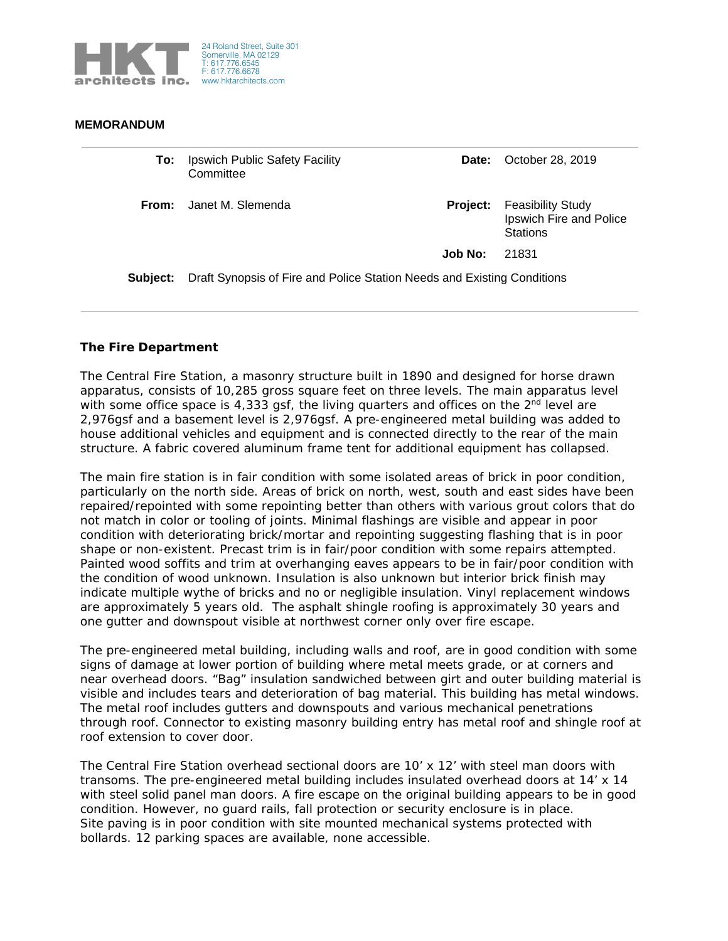

## **MEMORANDUM**

| <b>To:</b> Ipswich Public Safety Facility |
|-------------------------------------------|
| Committee                                 |

**Date:** October 28, 2019

**From:** Janet M. Slemenda **Project: From:** *Project:* **Project:** Feasibility Study Ipswich Fire and Police **Stations** 

**Job No:** 21831

**Subject:** Draft Synopsis of Fire and Police Station Needs and Existing Conditions

## **The Fire Department**

The Central Fire Station, a masonry structure built in 1890 and designed for horse drawn apparatus, consists of 10,285 gross square feet on three levels. The main apparatus level with some office space is 4,333 gsf, the living quarters and offices on the  $2<sup>nd</sup>$  level are 2,976gsf and a basement level is 2,976gsf. A pre-engineered metal building was added to house additional vehicles and equipment and is connected directly to the rear of the main structure. A fabric covered aluminum frame tent for additional equipment has collapsed.

The main fire station is in fair condition with some isolated areas of brick in poor condition, particularly on the north side. Areas of brick on north, west, south and east sides have been repaired/repointed with some repointing better than others with various grout colors that do not match in color or tooling of joints. Minimal flashings are visible and appear in poor condition with deteriorating brick/mortar and repointing suggesting flashing that is in poor shape or non-existent. Precast trim is in fair/poor condition with some repairs attempted. Painted wood soffits and trim at overhanging eaves appears to be in fair/poor condition with the condition of wood unknown. Insulation is also unknown but interior brick finish may indicate multiple wythe of bricks and no or negligible insulation. Vinyl replacement windows are approximately 5 years old. The asphalt shingle roofing is approximately 30 years and one gutter and downspout visible at northwest corner only over fire escape.

The pre-engineered metal building, including walls and roof, are in good condition with some signs of damage at lower portion of building where metal meets grade, or at corners and near overhead doors. "Bag" insulation sandwiched between girt and outer building material is visible and includes tears and deterioration of bag material. This building has metal windows. The metal roof includes gutters and downspouts and various mechanical penetrations through roof. Connector to existing masonry building entry has metal roof and shingle roof at roof extension to cover door.

The Central Fire Station overhead sectional doors are 10' x 12' with steel man doors with transoms. The pre-engineered metal building includes insulated overhead doors at 14' x 14 with steel solid panel man doors. A fire escape on the original building appears to be in good condition. However, no guard rails, fall protection or security enclosure is in place. Site paving is in poor condition with site mounted mechanical systems protected with bollards. 12 parking spaces are available, none accessible.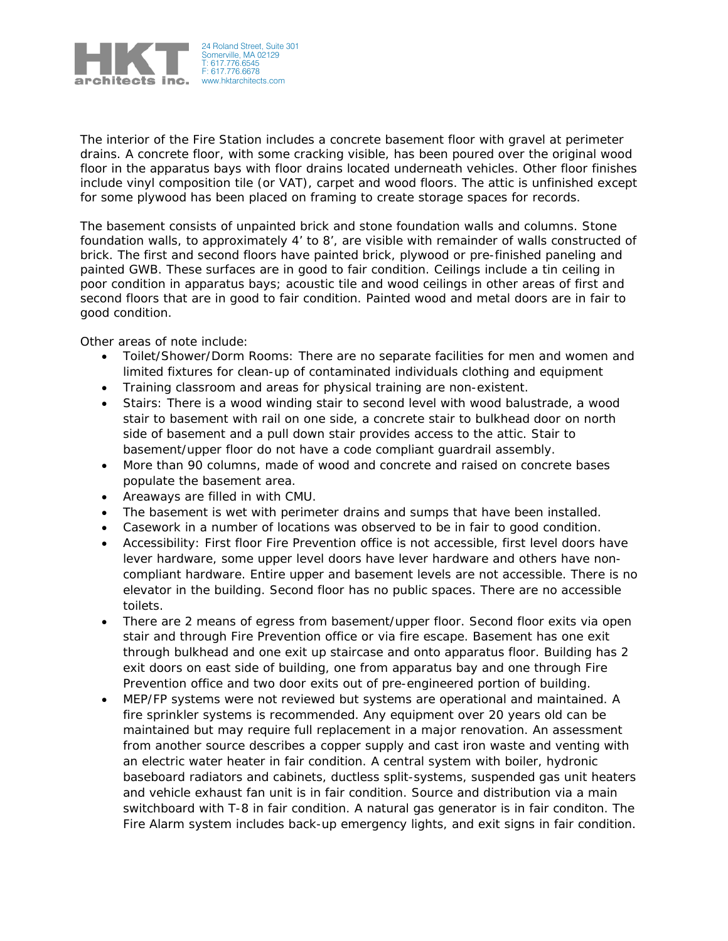

The interior of the Fire Station includes a concrete basement floor with gravel at perimeter drains. A concrete floor, with some cracking visible, has been poured over the original wood floor in the apparatus bays with floor drains located underneath vehicles. Other floor finishes include vinyl composition tile (or VAT), carpet and wood floors. The attic is unfinished except for some plywood has been placed on framing to create storage spaces for records.

The basement consists of unpainted brick and stone foundation walls and columns. Stone foundation walls, to approximately 4' to 8', are visible with remainder of walls constructed of brick. The first and second floors have painted brick, plywood or pre-finished paneling and painted GWB. These surfaces are in good to fair condition. Ceilings include a tin ceiling in poor condition in apparatus bays; acoustic tile and wood ceilings in other areas of first and second floors that are in good to fair condition. Painted wood and metal doors are in fair to good condition.

Other areas of note include:

- Toilet/Shower/Dorm Rooms: There are no separate facilities for men and women and limited fixtures for clean-up of contaminated individuals clothing and equipment
- Training classroom and areas for physical training are non-existent.
- Stairs: There is a wood winding stair to second level with wood balustrade, a wood stair to basement with rail on one side, a concrete stair to bulkhead door on north side of basement and a pull down stair provides access to the attic. Stair to basement/upper floor do not have a code compliant guardrail assembly.
- More than 90 columns, made of wood and concrete and raised on concrete bases populate the basement area.
- Areaways are filled in with CMU.
- The basement is wet with perimeter drains and sumps that have been installed.
- Casework in a number of locations was observed to be in fair to good condition.
- Accessibility: First floor Fire Prevention office is not accessible, first level doors have lever hardware, some upper level doors have lever hardware and others have noncompliant hardware. Entire upper and basement levels are not accessible. There is no elevator in the building. Second floor has no public spaces. There are no accessible toilets.
- There are 2 means of egress from basement/upper floor. Second floor exits via open stair and through Fire Prevention office or via fire escape. Basement has one exit through bulkhead and one exit up staircase and onto apparatus floor. Building has 2 exit doors on east side of building, one from apparatus bay and one through Fire Prevention office and two door exits out of pre-engineered portion of building.
- MEP/FP systems were not reviewed but systems are operational and maintained. A fire sprinkler systems is recommended. Any equipment over 20 years old can be maintained but may require full replacement in a major renovation. An assessment from another source describes a copper supply and cast iron waste and venting with an electric water heater in fair condition. A central system with boiler, hydronic baseboard radiators and cabinets, ductless split-systems, suspended gas unit heaters and vehicle exhaust fan unit is in fair condition. Source and distribution via a main switchboard with T-8 in fair condition. A natural gas generator is in fair conditon. The Fire Alarm system includes back-up emergency lights, and exit signs in fair condition.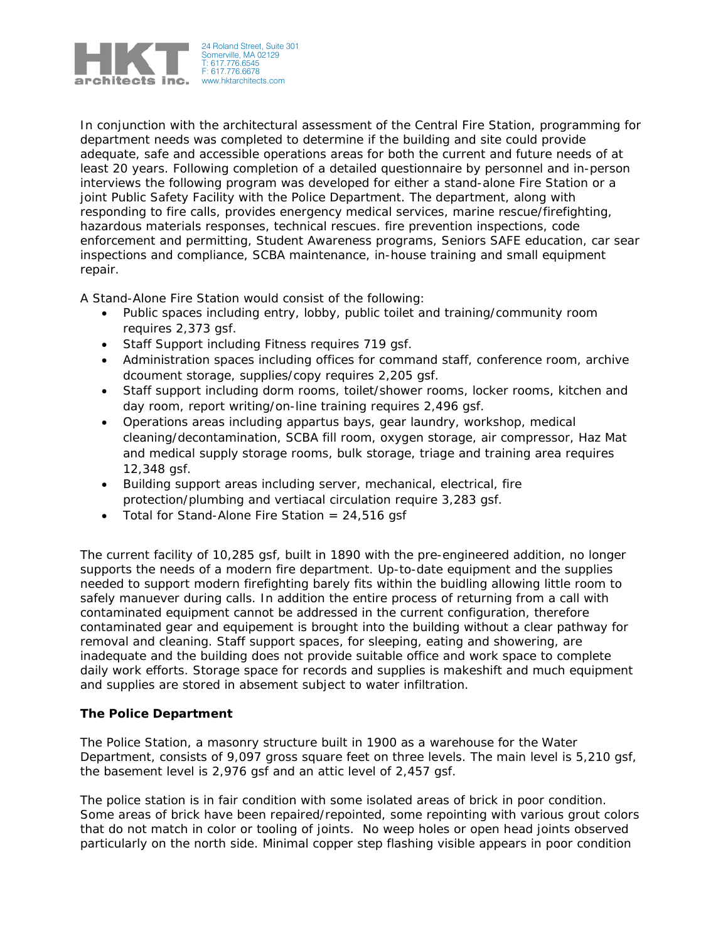

In conjunction with the architectural assessment of the Central Fire Station, programming for department needs was completed to determine if the building and site could provide adequate, safe and accessible operations areas for both the current and future needs of at least 20 years. Following completion of a detailed questionnaire by personnel and in-person interviews the following program was developed for either a stand-alone Fire Station or a joint Public Safety Facility with the Police Department. The department, along with responding to fire calls, provides energency medical services, marine rescue/firefighting, hazardous materials responses, technical rescues. fire prevention inspections, code enforcement and permitting, Student Awareness programs, Seniors SAFE education, car sear inspections and compliance, SCBA maintenance, in-house training and small equipment repair.

A Stand-Alone Fire Station would consist of the following:

- Public spaces including entry, lobby, public toilet and training/community room requires 2,373 gsf.
- Staff Support including Fitness requires 719 gsf.
- Administration spaces including offices for command staff, conference room, archive dcoument storage, supplies/copy requires 2,205 gsf.
- Staff support including dorm rooms, toilet/shower rooms, locker rooms, kitchen and day room, report writing/on-line training requires 2,496 gsf.
- Operations areas including appartus bays, gear laundry, workshop, medical cleaning/decontamination, SCBA fill room, oxygen storage, air compressor, Haz Mat and medical supply storage rooms, bulk storage, triage and training area requires 12,348 gsf.
- Building support areas including server, mechanical, electrical, fire protection/plumbing and vertiacal circulation require 3,283 gsf.
- Total for Stand-Alone Fire Station  $= 24,516$  gsf

The current facility of 10,285 gsf, built in 1890 with the pre-engineered addition, no longer supports the needs of a modern fire department. Up-to-date equipment and the supplies needed to support modern firefighting barely fits within the buidling allowing little room to safely manuever during calls. In addition the entire process of returning from a call with contaminated equipment cannot be addressed in the current configuration, therefore contaminated gear and equipement is brought into the building without a clear pathway for removal and cleaning. Staff support spaces, for sleeping, eating and showering, are inadequate and the building does not provide suitable office and work space to complete daily work efforts. Storage space for records and supplies is makeshift and much equipment and supplies are stored in absement subject to water infiltration.

## **The Police Department**

The Police Station, a masonry structure built in 1900 as a warehouse for the Water Department, consists of 9,097 gross square feet on three levels. The main level is 5,210 gsf, the basement level is 2,976 gsf and an attic level of 2,457 gsf.

The police station is in fair condition with some isolated areas of brick in poor condition. Some areas of brick have been repaired/repointed, some repointing with various grout colors that do not match in color or tooling of joints. No weep holes or open head joints observed particularly on the north side. Minimal copper step flashing visible appears in poor condition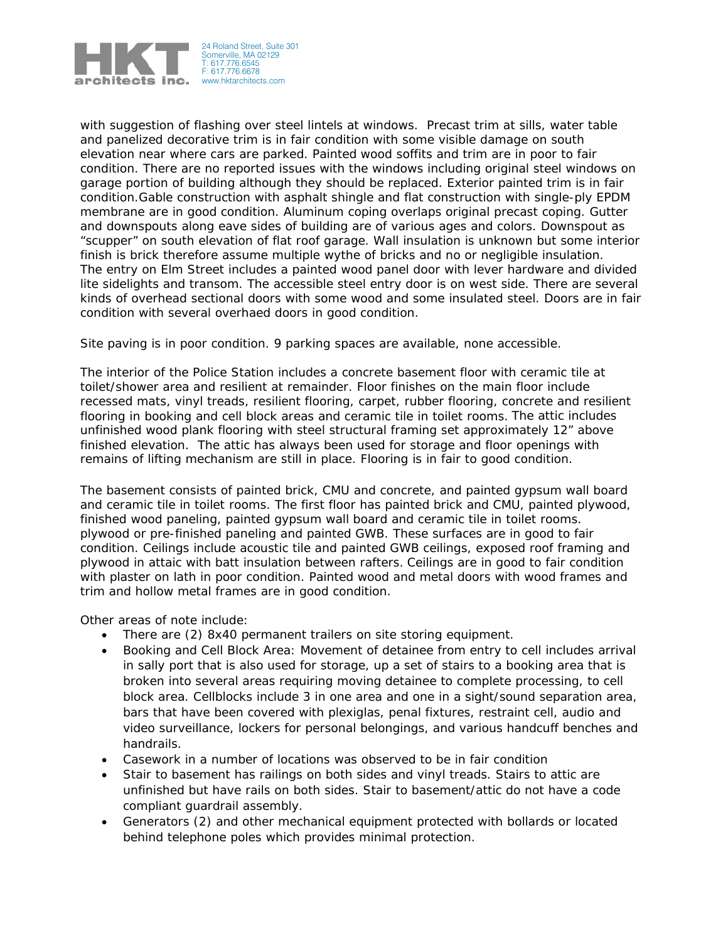

with suggestion of flashing over steel lintels at windows. Precast trim at sills, water table and panelized decorative trim is in fair condition with some visible damage on south elevation near where cars are parked. Painted wood soffits and trim are in poor to fair condition. There are no reported issues with the windows including original steel windows on garage portion of building although they should be replaced. Exterior painted trim is in fair condition.Gable construction with asphalt shingle and flat construction with single-ply EPDM membrane are in good condition. Aluminum coping overlaps original precast coping. Gutter and downspouts along eave sides of building are of various ages and colors. Downspout as "scupper" on south elevation of flat roof garage. Wall insulation is unknown but some interior finish is brick therefore assume multiple wythe of bricks and no or negligible insulation. The entry on Elm Street includes a painted wood panel door with lever hardware and divided lite sidelights and transom. The accessible steel entry door is on west side. There are several kinds of overhead sectional doors with some wood and some insulated steel. Doors are in fair condition with several overhaed doors in good condition.

Site paving is in poor condition. 9 parking spaces are available, none accessible.

The interior of the Police Station includes a concrete basement floor with ceramic tile at toilet/shower area and resilient at remainder. Floor finishes on the main floor include recessed mats, vinyl treads, resilient flooring, carpet, rubber flooring, concrete and resilient flooring in booking and cell block areas and ceramic tile in toilet rooms. The attic includes unfinished wood plank flooring with steel structural framing set approximately 12" above finished elevation. The attic has always been used for storage and floor openings with remains of lifting mechanism are still in place. Flooring is in fair to good condition.

The basement consists of painted brick, CMU and concrete, and painted gypsum wall board and ceramic tile in toilet rooms. The first floor has painted brick and CMU, painted plywood, finished wood paneling, painted gypsum wall board and ceramic tile in toilet rooms. plywood or pre-finished paneling and painted GWB. These surfaces are in good to fair condition. Ceilings include acoustic tile and painted GWB ceilings, exposed roof framing and plywood in attaic with batt insulation between rafters. Ceilings are in good to fair condition with plaster on lath in poor condition. Painted wood and metal doors with wood frames and trim and hollow metal frames are in good condition.

Other areas of note include:

- There are (2) 8x40 permanent trailers on site storing equipment.
- Booking and Cell Block Area: Movement of detainee from entry to cell includes arrival in sally port that is also used for storage, up a set of stairs to a booking area that is broken into several areas requiring moving detainee to complete processing, to cell block area. Cellblocks include 3 in one area and one in a sight/sound separation area, bars that have been covered with plexiglas, penal fixtures, restraint cell, audio and video surveillance, lockers for personal belongings, and various handcuff benches and handrails.
- Casework in a number of locations was observed to be in fair condition
- Stair to basement has railings on both sides and vinyl treads. Stairs to attic are unfinished but have rails on both sides. Stair to basement/attic do not have a code compliant guardrail assembly.
- Generators (2) and other mechanical equipment protected with bollards or located behind telephone poles which provides minimal protection.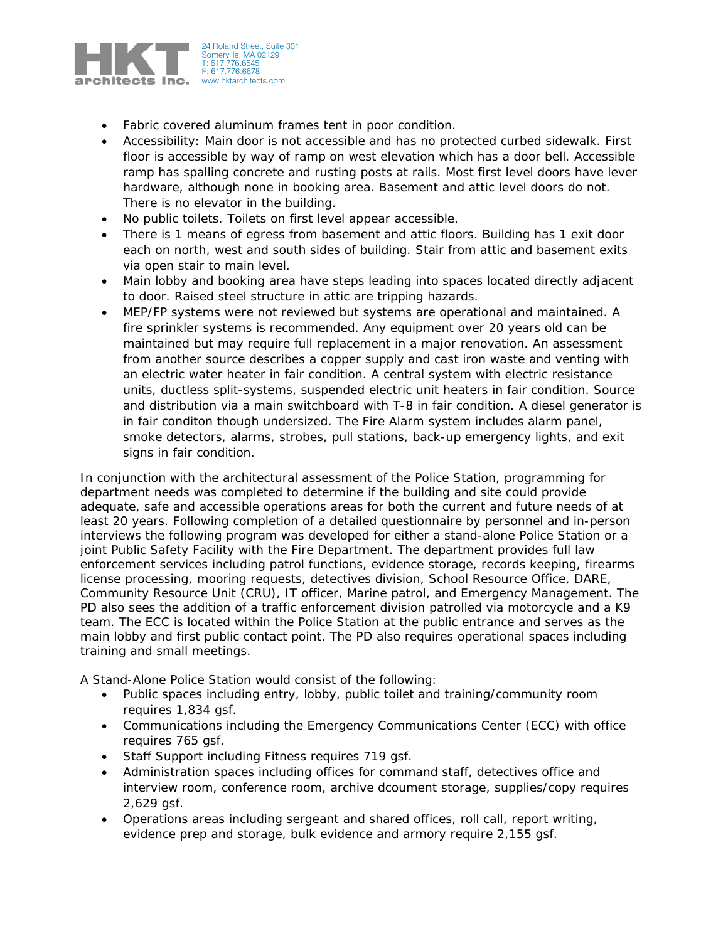

- Fabric covered aluminum frames tent in poor condition.
- Accessibility: Main door is not accessible and has no protected curbed sidewalk. First floor is accessible by way of ramp on west elevation which has a door bell. Accessible ramp has spalling concrete and rusting posts at rails. Most first level doors have lever hardware, although none in booking area. Basement and attic level doors do not. There is no elevator in the building.
- No public toilets. Toilets on first level appear accessible.
- There is 1 means of egress from basement and attic floors. Building has 1 exit door each on north, west and south sides of building. Stair from attic and basement exits via open stair to main level.
- Main lobby and booking area have steps leading into spaces located directly adjacent to door. Raised steel structure in attic are tripping hazards.
- MEP/FP systems were not reviewed but systems are operational and maintained. A fire sprinkler systems is recommended. Any equipment over 20 years old can be maintained but may require full replacement in a major renovation. An assessment from another source describes a copper supply and cast iron waste and venting with an electric water heater in fair condition. A central system with electric resistance units, ductless split-systems, suspended electric unit heaters in fair condition. Source and distribution via a main switchboard with T-8 in fair condition. A diesel generator is in fair conditon though undersized. The Fire Alarm system includes alarm panel, smoke detectors, alarms, strobes, pull stations, back-up emergency lights, and exit signs in fair condition.

In conjunction with the architectural assessment of the Police Station, programming for department needs was completed to determine if the building and site could provide adequate, safe and accessible operations areas for both the current and future needs of at least 20 years. Following completion of a detailed questionnaire by personnel and in-person interviews the following program was developed for either a stand-alone Police Station or a joint Public Safety Facility with the Fire Department. The department provides full law enforcement services including patrol functions, evidence storage, records keeping, firearms license processing, mooring requests, detectives division, School Resource Office, DARE, Community Resource Unit (CRU), IT officer, Marine patrol, and Emergency Management. The PD also sees the addition of a traffic enforcement division patrolled via motorcycle and a K9 team. The ECC is located within the Police Station at the public entrance and serves as the main lobby and first public contact point. The PD also requires operational spaces including training and small meetings.

A Stand-Alone Police Station would consist of the following:

- Public spaces including entry, lobby, public toilet and training/community room requires 1,834 gsf.
- Communications including the Emergency Communications Center (ECC) with office requires 765 gsf.
- Staff Support including Fitness requires 719 gsf.
- Administration spaces including offices for command staff, detectives office and interview room, conference room, archive dcoument storage, supplies/copy requires 2,629 gsf.
- Operations areas including sergeant and shared offices, roll call, report writing, evidence prep and storage, bulk evidence and armory require 2,155 gsf.